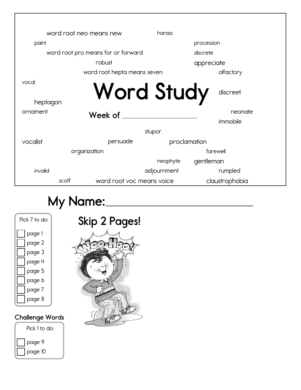|          | word root neo means new            | harass      |                |
|----------|------------------------------------|-------------|----------------|
| paint    |                                    |             | procession     |
|          | word root pro means for or forward |             | discrete       |
|          | robust                             |             | appreciate     |
|          | word root hepta means seven        |             | olfactory      |
| vocal    | <b>Word Study</b>                  |             | discreet       |
| heptagon |                                    |             |                |
| ornament | Week of                            |             | neonate        |
|          |                                    |             | immobile       |
|          |                                    | stupor      |                |
| vocalist | persuade                           |             | proclamation   |
|          | organization                       |             | farewell       |
|          |                                    | neophyte    | gentleman      |
| invalid  |                                    | adjournment | rumpled        |
| scoff    | word root voc means voice          |             | claustrophobia |

## **My Name:**

| Pick 7 to do: |
|---------------|
| page 1        |
| page 2        |
| page 3        |
| page 4        |
| page 5        |
| page 6        |
| page 7        |
| page 8        |
|               |

## **Challenge Words**



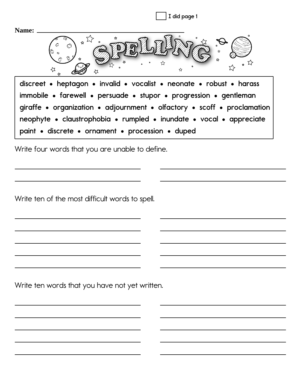| I did page 1                                                                                                                                                                                                                                                                                                                                    |
|-------------------------------------------------------------------------------------------------------------------------------------------------------------------------------------------------------------------------------------------------------------------------------------------------------------------------------------------------|
| Name:<br>☆                                                                                                                                                                                                                                                                                                                                      |
| discreet • heptagon • invalid • vocalist • neonate • robust • harass<br>immobile • farewell • persuade • stupor • progression • gentleman<br>giraffe • organization • adjournment • olfactory • scoff • proclamation<br>neophyte • claustrophobia • rumpled • inundate • vocal • appreciate<br>paint • discrete • ornament • procession • duped |

Write four words that you are unable to define.

Write ten of the most difficult words to spell.

Write ten words that you have not yet written.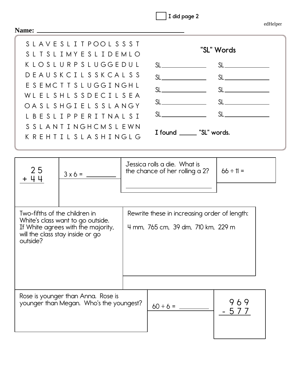|  | I did page 2 |
|--|--------------|
|--|--------------|

edHelper

| Name: ______                              |                                                                                                             |                                                                                    |                |  |
|-------------------------------------------|-------------------------------------------------------------------------------------------------------------|------------------------------------------------------------------------------------|----------------|--|
|                                           | SLAVESLITPOOLSSST<br>SLTSLIMYESLIDEMLO                                                                      |                                                                                    | "SL" Words     |  |
|                                           | K L O S L U R P S L U G G E D U L                                                                           |                                                                                    |                |  |
|                                           | DEAUSKCILSSKCALSS                                                                                           | $SL$ <sub>___</sub> ________________                                               |                |  |
|                                           | ESEMCTTSLUGGINGHL                                                                                           |                                                                                    |                |  |
|                                           | WLELSHLSSDECILSEA                                                                                           |                                                                                    |                |  |
|                                           | OASL SHGIEL SSLANGY<br>L B E S L I P P E R I T N A L S I                                                    | SL                                                                                 |                |  |
|                                           | SSLANTINGHCMSLEWN<br>K R E H T I L S L A S H I N G L G                                                      | I found ______ "SL" words.                                                         |                |  |
| 25<br>44                                  |                                                                                                             | Jessica rolls a die. What is<br>the chance of her rolling a 2?                     | $66 \div 11 =$ |  |
| Two-fifths of the children in<br>outside? | White's class want to go outside.<br>If White agrees with the majority,<br>will the class stay inside or go | Rewrite these in increasing order of length:<br>4 mm, 765 cm, 39 dm, 710 km, 229 m |                |  |
|                                           | Rose is younger than Anna. Rose is<br>younger than Megan. Who's the youngest?                               | $60 \div 6 =$                                                                      | 969<br>5 7     |  |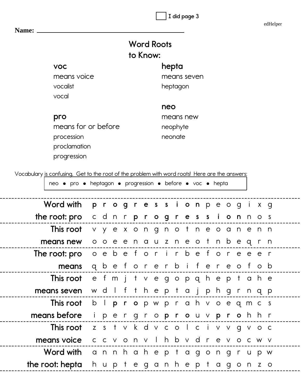**I did page 3**

edHelper

| Name:               |                   |
|---------------------|-------------------|
|                     | <b>Word Roots</b> |
|                     | to Know:          |
| <b>VOC</b>          | hepta             |
| means voice         | means seven       |
| vocalist            | heptagon          |
| vocal               |                   |
|                     | neo               |
| pro                 | means new         |
| means for or before | neophyte          |
| procession          | neonate           |
| proclamation        |                   |
| progression         |                   |

Vocabulary is confusing. Get to the root of the problem with word roots! Here are the answers:

| neo • pro • heptagon • progression • before • voc • hepta |    |         |                                     |  |  |                                  |  |  |  |          |              |          |  |
|-----------------------------------------------------------|----|---------|-------------------------------------|--|--|----------------------------------|--|--|--|----------|--------------|----------|--|
| Word with                                                 |    |         | progression peogixq                 |  |  |                                  |  |  |  |          |              |          |  |
| the root: pro                                             |    |         | cdn <b>rprogression</b> nos         |  |  |                                  |  |  |  |          |              |          |  |
| This root                                                 |    |         | vyexongnotneoanenn                  |  |  |                                  |  |  |  |          |              |          |  |
| means new                                                 |    |         | o o e e n a u z n e o t n b e q r n |  |  |                                  |  |  |  |          |              |          |  |
| The root: pro                                             |    |         | o e b e for irbe fore               |  |  |                                  |  |  |  |          | e e r        |          |  |
| means                                                     |    |         | q b e forer b i fere o fob          |  |  |                                  |  |  |  |          |              |          |  |
| This root                                                 |    |         | e fmjtvegopqheptahe                 |  |  |                                  |  |  |  |          |              |          |  |
| means seven                                               |    |         | wdlf                                |  |  | theptajphgr                      |  |  |  |          | n q p        |          |  |
| This root                                                 | b  |         | I propwprahvoegmcs                  |  |  |                                  |  |  |  |          |              |          |  |
| means before                                              |    | $1$ $p$ | e r                                 |  |  | gro <b>pro</b> uv <b>pro</b> hhr |  |  |  |          |              |          |  |
| This root                                                 |    | Z S     | t v k d v c o l c i v v g v o c     |  |  |                                  |  |  |  |          |              |          |  |
| means voice                                               |    |         | c c v o n v l h b v d r e v o c w v |  |  |                                  |  |  |  |          |              |          |  |
| Word with                                                 |    | a n     | nhaheptagongr                       |  |  |                                  |  |  |  | <b>U</b> | <sub>p</sub> | <b>W</b> |  |
| the root: hepta                                           | h. |         | upteganheptagon zo                  |  |  |                                  |  |  |  |          |              |          |  |
|                                                           |    |         |                                     |  |  |                                  |  |  |  |          |              |          |  |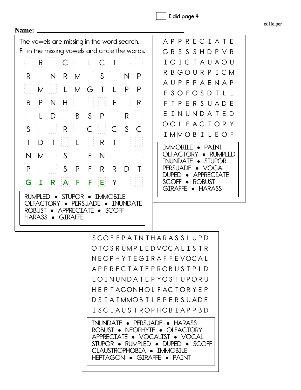**I did page 4**

edHelper

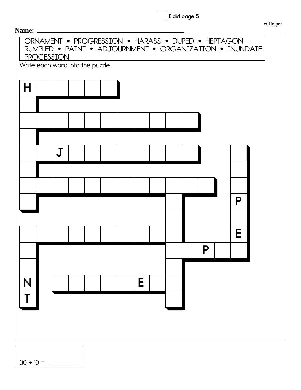| did page 5 |  |
|------------|--|
|------------|--|

edHelper

|        | ORNAMENT • PROGRESSION • HARASS • DUPED • HEPTAGON<br>RUMPLED • PAINT • ADJOURNMENT • ORGANIZATION • INUNDATE<br>PROCESSION<br>Write each word into the puzzle. |  |   |  |   |   |  |
|--------|-----------------------------------------------------------------------------------------------------------------------------------------------------------------|--|---|--|---|---|--|
| H      |                                                                                                                                                                 |  |   |  |   |   |  |
|        |                                                                                                                                                                 |  |   |  |   |   |  |
|        | $\mathbf J$                                                                                                                                                     |  |   |  |   |   |  |
|        |                                                                                                                                                                 |  |   |  |   |   |  |
|        |                                                                                                                                                                 |  |   |  |   | P |  |
|        |                                                                                                                                                                 |  |   |  |   | E |  |
|        |                                                                                                                                                                 |  |   |  | P |   |  |
| N<br>Т |                                                                                                                                                                 |  | E |  |   |   |  |
|        |                                                                                                                                                                 |  |   |  |   |   |  |
|        |                                                                                                                                                                 |  |   |  |   |   |  |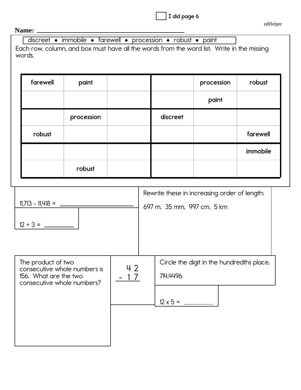**I did page 6**

## **Name:**

| farewell                                    | paint                                                      |              |          | procession                                                                 | robust   |
|---------------------------------------------|------------------------------------------------------------|--------------|----------|----------------------------------------------------------------------------|----------|
|                                             |                                                            |              |          | paint                                                                      |          |
|                                             | procession                                                 |              | discreet |                                                                            |          |
| robust                                      |                                                            |              |          |                                                                            | farewell |
|                                             |                                                            |              |          |                                                                            | immobile |
|                                             | robust                                                     |              |          |                                                                            |          |
|                                             |                                                            |              |          | Rewrite these in increasing order of length:<br>697 m, 35 mm, 997 cm, 5 km |          |
| The product of two<br>156. What are the two | consecutive whole numbers is<br>consecutive whole numbers? | 42<br>$1\,7$ | 714.4496 | Circle the digit in the hundredths place.                                  |          |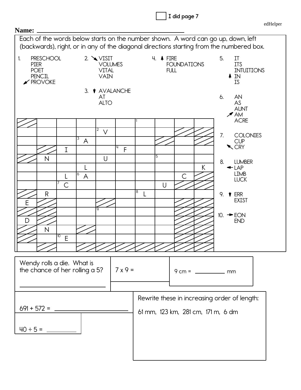

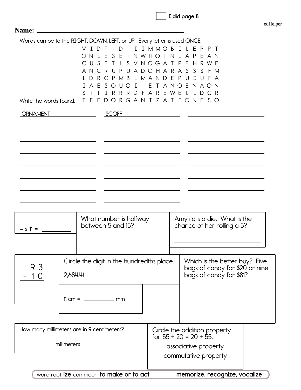|  |  |  | I did page 8 |  |
|--|--|--|--------------|--|
|--|--|--|--------------|--|

|                                            | $\mathbf{I}$<br>V<br>N.<br>C<br>U<br>AN.<br>D.<br>A | Words can be to the RIGHT, DOWN, LEFT, or UP. Every letter is used ONCE.<br>D<br>$\overline{1}$<br>D<br>E<br>$\top$<br>F<br>S.<br>S.<br>E<br>C<br>R U<br>C P M B L M A N D E P U D U F A<br>R<br>S.<br>E<br>U<br>$\top$<br>$\left($<br>$\left($<br>R R D F A R<br>I.<br>R | I I M M O B<br>T N W H O T N I A P<br>PUADOHARASS<br>E<br>T A N O<br>EWE | ILE<br>$\mathsf{P}$<br>P <sub>1</sub><br>-F<br>AN<br>S V N O G A T P E H R W E<br>-S<br>- FM<br>ENAON<br>$\perp$<br>D.<br>C R |  |
|--------------------------------------------|-----------------------------------------------------|---------------------------------------------------------------------------------------------------------------------------------------------------------------------------------------------------------------------------------------------------------------------------|--------------------------------------------------------------------------|-------------------------------------------------------------------------------------------------------------------------------|--|
| Write the words found.                     | T                                                   | EEDORGANIZATIONESO                                                                                                                                                                                                                                                        |                                                                          |                                                                                                                               |  |
| <b>ORNAMENT</b>                            |                                                     | SCOFF                                                                                                                                                                                                                                                                     |                                                                          |                                                                                                                               |  |
|                                            |                                                     |                                                                                                                                                                                                                                                                           |                                                                          |                                                                                                                               |  |
|                                            |                                                     |                                                                                                                                                                                                                                                                           |                                                                          |                                                                                                                               |  |
|                                            |                                                     |                                                                                                                                                                                                                                                                           |                                                                          |                                                                                                                               |  |
|                                            |                                                     |                                                                                                                                                                                                                                                                           |                                                                          |                                                                                                                               |  |
|                                            |                                                     |                                                                                                                                                                                                                                                                           |                                                                          |                                                                                                                               |  |
|                                            |                                                     |                                                                                                                                                                                                                                                                           |                                                                          |                                                                                                                               |  |
| $4 \times 11 =$                            |                                                     | What number is halfway<br>between 5 and 15?                                                                                                                                                                                                                               |                                                                          | Amy rolls a die. What is the<br>chance of her rolling a 5?                                                                    |  |
|                                            |                                                     |                                                                                                                                                                                                                                                                           |                                                                          |                                                                                                                               |  |
| 93<br>O                                    | 2,684.41                                            | Circle the digit in the hundredths place.                                                                                                                                                                                                                                 |                                                                          | Which is the better buy? Five<br>bags of candy for \$20 <sup>'</sup> or nine<br>bags of candy for \$81?                       |  |
|                                            |                                                     |                                                                                                                                                                                                                                                                           |                                                                          |                                                                                                                               |  |
| How many millimeters are in 9 centimeters? |                                                     |                                                                                                                                                                                                                                                                           | Circle the addition property<br>for $55 + 20 = 20 + 55$ .                |                                                                                                                               |  |
| <u>__________</u> millimeters              |                                                     |                                                                                                                                                                                                                                                                           | associative property<br>commutative property                             |                                                                                                                               |  |

memorize, recognize, vocalize word root ize can mean to make or to act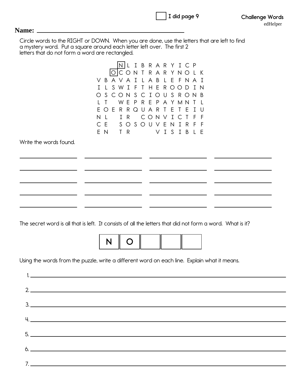|                                                                                                                                                                                                                          | I did page 9                                                                                                                                                                              | <b>Challenge Words</b><br>edHelper |
|--------------------------------------------------------------------------------------------------------------------------------------------------------------------------------------------------------------------------|-------------------------------------------------------------------------------------------------------------------------------------------------------------------------------------------|------------------------------------|
| Name:                                                                                                                                                                                                                    |                                                                                                                                                                                           |                                    |
| Circle words to the RIGHT or DOWN. When you are done, use the letters that are left to find<br>a mystery word. Put a square around each letter left over. The first 2<br>letters that do not form a word are rectangled. |                                                                                                                                                                                           |                                    |
| V<br>S W I<br>$\mathsf{L}$<br>T<br>S.<br>$\left( \right)$<br>W<br>OER<br>F<br>$\mathsf{N}$<br>$\perp$<br>I R<br>EN TR                                                                                                    | NLIBRARYICP<br>OCONTRARYNOLK<br>BAVAILABLEFNAI<br>T H E R O O D I N<br>-F<br>CIOUSRONB<br>CONS<br>E<br>R E P A Y M N<br>P.<br>R<br>QUART<br>E<br>CONV<br>ICT<br>CE SOSOUVENIRF<br>VISIBLE |                                    |
| Write the words found.                                                                                                                                                                                                   |                                                                                                                                                                                           |                                    |
|                                                                                                                                                                                                                          |                                                                                                                                                                                           |                                    |
|                                                                                                                                                                                                                          |                                                                                                                                                                                           |                                    |
| The secret word is all that is left. It consists of all the letters that did not form a word. What is it?                                                                                                                |                                                                                                                                                                                           |                                    |
| N                                                                                                                                                                                                                        | O                                                                                                                                                                                         |                                    |
| Using the words from the puzzle, write a different word on each line. Explain what it means.                                                                                                                             |                                                                                                                                                                                           |                                    |
|                                                                                                                                                                                                                          |                                                                                                                                                                                           |                                    |

| 3. |  |  |
|----|--|--|
|    |  |  |
|    |  |  |
|    |  |  |
|    |  |  |
|    |  |  |